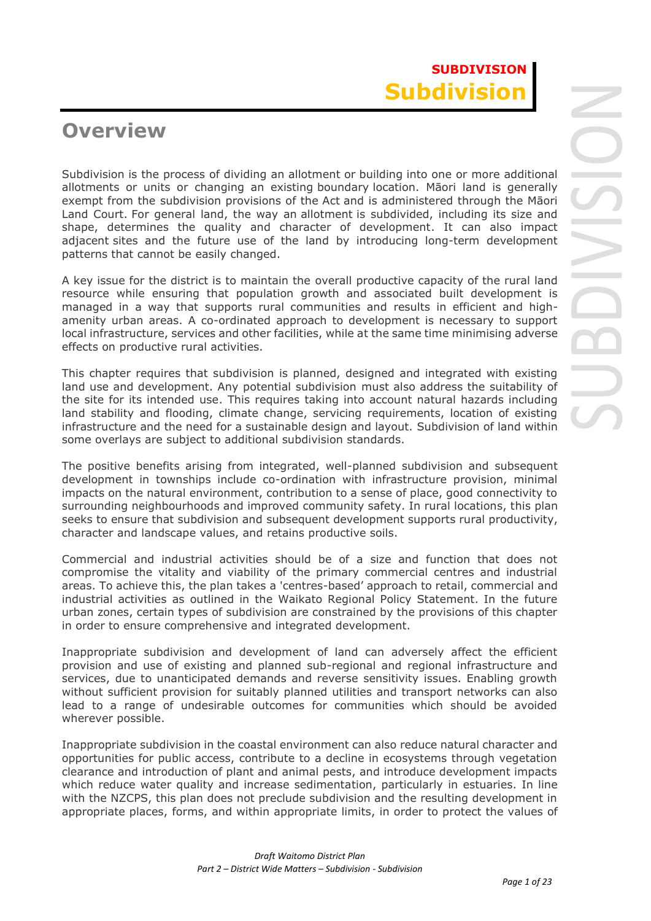# **Overview**

Subdivision is the process of dividing an allotment or building into one or more additional allotments or units or changing an existing boundary location. Māori land is generally exempt from the subdivision provisions of the Act and is administered through the Māori Land Court. For general land, the way an allotment is subdivided, including its size and shape, determines the quality and character of development. It can also impact adjacent sites and the future use of the land by introducing long-term development patterns that cannot be easily changed.

A key issue for the district is to maintain the overall productive capacity of the rural land resource while ensuring that population growth and associated built development is managed in a way that supports rural communities and results in efficient and highamenity urban areas. A co-ordinated approach to development is necessary to support local infrastructure, services and other facilities, while at the same time minimising adverse effects on productive rural activities.

This chapter requires that subdivision is planned, designed and integrated with existing land use and development. Any potential subdivision must also address the suitability of the site for its intended use. This requires taking into account natural hazards including land stability and flooding, climate change, servicing requirements, location of existing infrastructure and the need for a sustainable design and layout. Subdivision of land within some overlays are subject to additional subdivision standards.

The positive benefits arising from integrated, well-planned subdivision and subsequent development in townships include co-ordination with infrastructure provision, minimal impacts on the natural environment, contribution to a sense of place, good connectivity to surrounding neighbourhoods and improved community safety. In rural locations, this plan seeks to ensure that subdivision and subsequent development supports rural productivity, character and landscape values, and retains productive soils.

Commercial and industrial activities should be of a size and function that does not compromise the vitality and viability of the primary commercial centres and industrial areas. To achieve this, the plan takes a 'centres-based' approach to retail, commercial and industrial activities as outlined in the Waikato Regional Policy Statement. In the future urban zones, certain types of subdivision are constrained by the provisions of this chapter in order to ensure comprehensive and integrated development.

Inappropriate subdivision and development of land can adversely affect the efficient provision and use of existing and planned sub-regional and regional infrastructure and services, due to unanticipated demands and reverse sensitivity issues. Enabling growth without sufficient provision for suitably planned utilities and transport networks can also lead to a range of undesirable outcomes for communities which should be avoided wherever possible.

Inappropriate subdivision in the coastal environment can also reduce natural character and opportunities for public access, contribute to a decline in ecosystems through vegetation clearance and introduction of plant and animal pests, and introduce development impacts which reduce water quality and increase sedimentation, particularly in estuaries. In line with the NZCPS, this plan does not preclude subdivision and the resulting development in appropriate places, forms, and within appropriate limits, in order to protect the values of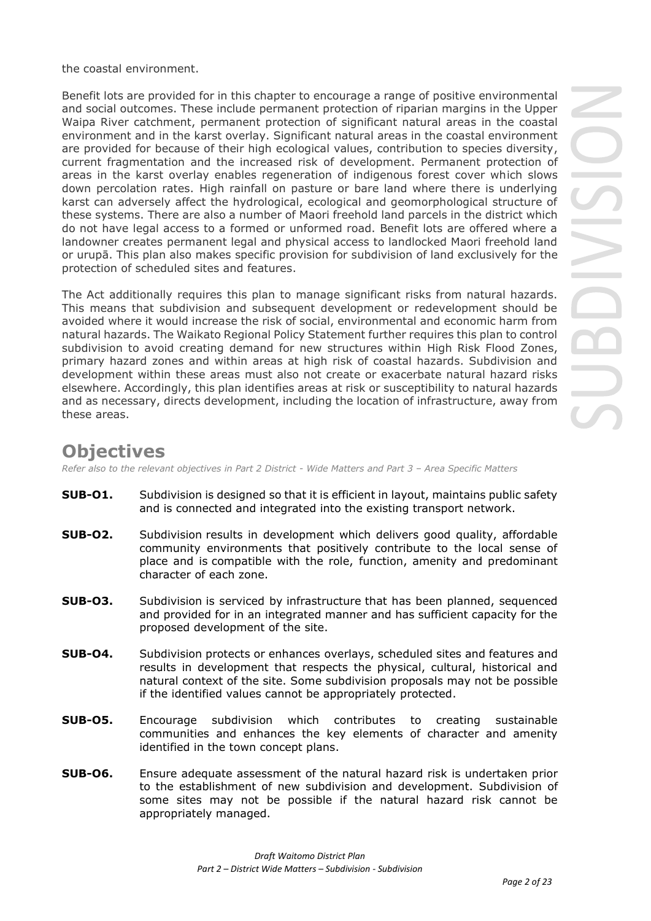the coastal environment.

Benefit lots are provided for in this chapter to encourage a range of positive environmental and social outcomes. These include permanent protection of riparian margins in the Upper Waipa River catchment, permanent protection of significant natural areas in the coastal environment and in the karst overlay. Significant natural areas in the coastal environment are provided for because of their high ecological values, contribution to species diversity, current fragmentation and the increased risk of development. Permanent protection of areas in the karst overlay enables regeneration of indigenous forest cover which slows down percolation rates. High rainfall on pasture or bare land where there is underlying karst can adversely affect the hydrological, ecological and geomorphological structure of these systems. There are also a number of Maori freehold land parcels in the district which do not have legal access to a formed or unformed road. Benefit lots are offered where a landowner creates permanent legal and physical access to landlocked Maori freehold land or urupā. This plan also makes specific provision for subdivision of land exclusively for the protection of scheduled sites and features.

The Act additionally requires this plan to manage significant risks from natural hazards. This means that subdivision and subsequent development or redevelopment should be avoided where it would increase the risk of social, environmental and economic harm from natural hazards. The Waikato Regional Policy Statement further requires this plan to control subdivision to avoid creating demand for new structures within High Risk Flood Zones, primary hazard zones and within areas at high risk of coastal hazards. Subdivision and development within these areas must also not create or exacerbate natural hazard risks elsewhere. Accordingly, this plan identifies areas at risk or susceptibility to natural hazards and as necessary, directs development, including the location of infrastructure, away from these areas.

# **Objectives**

*Refer also to the relevant objectives in Part 2 District - Wide Matters and Part 3 – Area Specific Matters*

- **SUB-O1.** Subdivision is designed so that it is efficient in layout, maintains public safety and is connected and integrated into the existing transport network.
- **SUB-O2.** Subdivision results in development which delivers good quality, affordable community environments that positively contribute to the local sense of place and is compatible with the role, function, amenity and predominant character of each zone.
- **SUB-O3.** Subdivision is serviced by infrastructure that has been planned, sequenced and provided for in an integrated manner and has sufficient capacity for the proposed development of the site.
- **SUB-O4.** Subdivision protects or enhances overlays, scheduled sites and features and results in development that respects the physical, cultural, historical and natural context of the site. Some subdivision proposals may not be possible if the identified values cannot be appropriately protected.
- **SUB-O5.** Encourage subdivision which contributes to creating sustainable communities and enhances the key elements of character and amenity identified in the town concept plans.
- **SUB-O6.** Ensure adequate assessment of the natural hazard risk is undertaken prior to the establishment of new subdivision and development. Subdivision of some sites may not be possible if the natural hazard risk cannot be appropriately managed.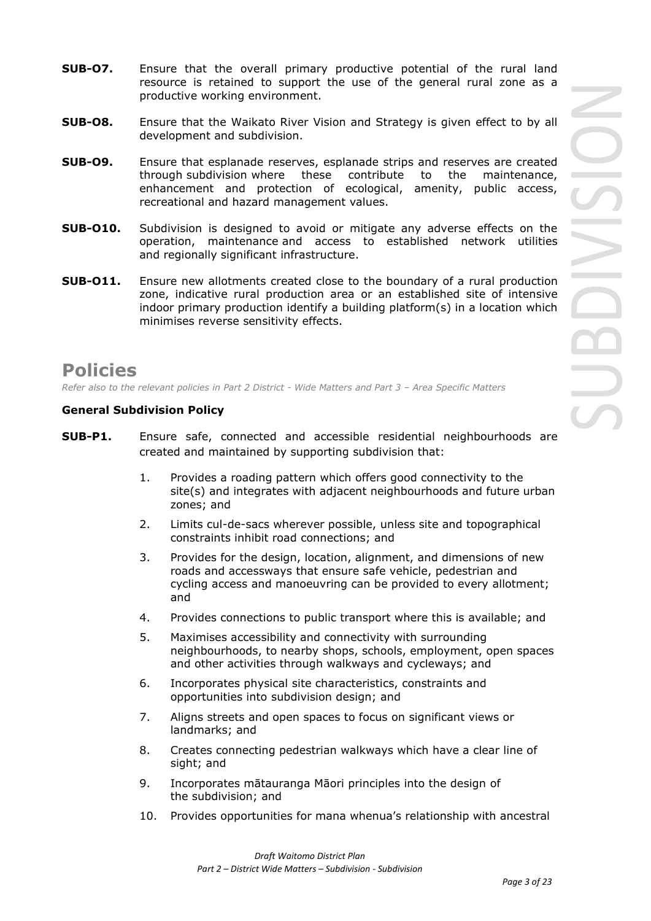- **SUB-O7.** Ensure that the overall primary productive potential of the rural land resource is retained to support the use of the general rural zone as a productive working environment.
- **SUB-O8.** Ensure that the Waikato River Vision and Strategy is given effect to by all development and subdivision.
- **SUB-O9.** Ensure that esplanade reserves, esplanade strips and reserves are created through subdivision where these contribute to the maintenance, enhancement and protection of ecological, amenity, public access, recreational and hazard management values.
- **SUB-O10.** Subdivision is designed to avoid or mitigate any adverse effects on the operation, maintenance and access to established network utilities and regionally significant infrastructure.
- **SUB-O11.** Ensure new allotments created close to the boundary of a rural production zone, indicative rural production area or an established site of intensive indoor primary production identify a building platform(s) in a location which minimises reverse sensitivity effects.

# **Policies**

*Refer also to the relevant policies in Part 2 District - Wide Matters and Part 3 – Area Specific Matters*

# **General Subdivision Policy**

- **SUB-P1.** Ensure safe, connected and accessible residential neighbourhoods are created and maintained by supporting subdivision that:
	- 1. Provides a roading pattern which offers good connectivity to the site(s) and integrates with adjacent neighbourhoods and future urban zones; and
	- 2. Limits cul-de-sacs wherever possible, unless site and topographical constraints inhibit road connections; and
	- 3. Provides for the design, location, alignment, and dimensions of new roads and accessways that ensure safe vehicle, pedestrian and cycling access and manoeuvring can be provided to every allotment; and
	- 4. Provides connections to public transport where this is available; and
	- 5. Maximises accessibility and connectivity with surrounding neighbourhoods, to nearby shops, schools, employment, open spaces and other activities through walkways and cycleways; and
	- 6. Incorporates physical site characteristics, constraints and opportunities into subdivision design; and
	- 7. Aligns streets and open spaces to focus on significant views or landmarks; and
	- 8. Creates connecting pedestrian walkways which have a clear line of sight; and
	- 9. Incorporates mātauranga Māori principles into the design of the subdivision; and
	- 10. Provides opportunities for mana whenua's relationship with ancestral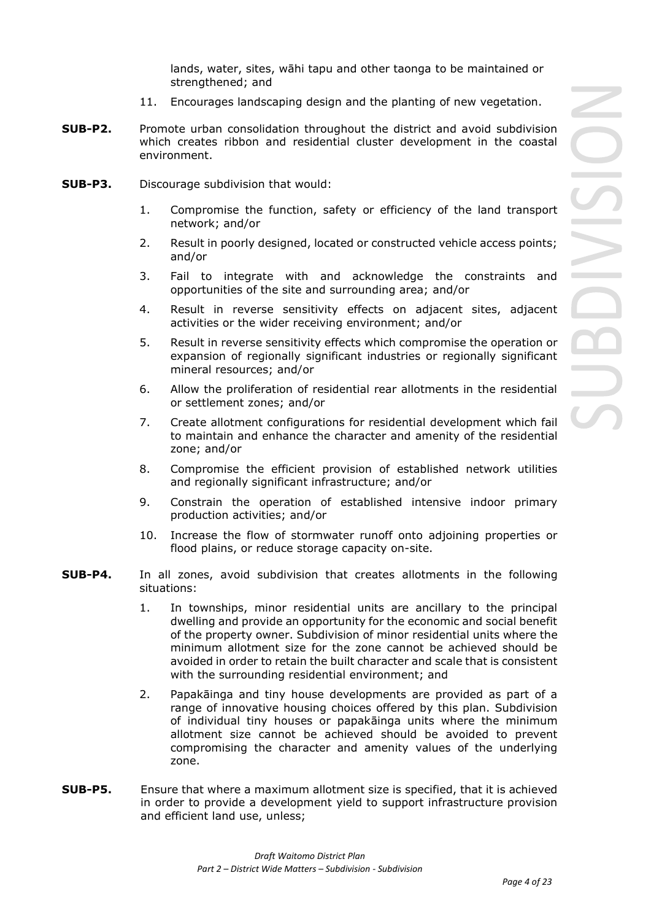lands, water, sites, wāhi tapu and other taonga to be maintained or strengthened; and

- 11. Encourages landscaping design and the planting of new vegetation.
- **SUB-P2.** Promote urban consolidation throughout the district and avoid subdivision which creates ribbon and residential cluster development in the coastal environment.
- **SUB-P3.** Discourage subdivision that would:
	- 1. Compromise the function, safety or efficiency of the land transport network; and/or
	- 2. Result in poorly designed, located or constructed vehicle access points; and/or
	- 3. Fail to integrate with and acknowledge the constraints and opportunities of the site and surrounding area; and/or
	- 4. Result in reverse sensitivity effects on adjacent sites, adjacent activities or the wider receiving environment; and/or
	- 5. Result in reverse sensitivity effects which compromise the operation or expansion of regionally significant industries or regionally significant mineral resources; and/or
	- 6. Allow the proliferation of residential rear allotments in the residential or settlement zones; and/or
	- 7. Create allotment configurations for residential development which fail to maintain and enhance the character and amenity of the residential zone; and/or
	- 8. Compromise the efficient provision of established network utilities and regionally significant infrastructure; and/or
	- 9. Constrain the operation of established intensive indoor primary production activities; and/or
	- 10. Increase the flow of stormwater runoff onto adjoining properties or flood plains, or reduce storage capacity on-site.
- **SUB-P4.** In all zones, avoid subdivision that creates allotments in the following situations:
	- 1. In townships, minor residential units are ancillary to the principal dwelling and provide an opportunity for the economic and social benefit of the property owner. Subdivision of minor residential units where the minimum allotment size for the zone cannot be achieved should be avoided in order to retain the built character and scale that is consistent with the surrounding residential environment; and
	- 2. Papakāinga and tiny house developments are provided as part of a range of innovative housing choices offered by this plan. Subdivision of individual tiny houses or papakāinga units where the minimum allotment size cannot be achieved should be avoided to prevent compromising the character and amenity values of the underlying zone.
- **SUB-P5.** Ensure that where a maximum allotment size is specified, that it is achieved in order to provide a development yield to support infrastructure provision and efficient land use, unless;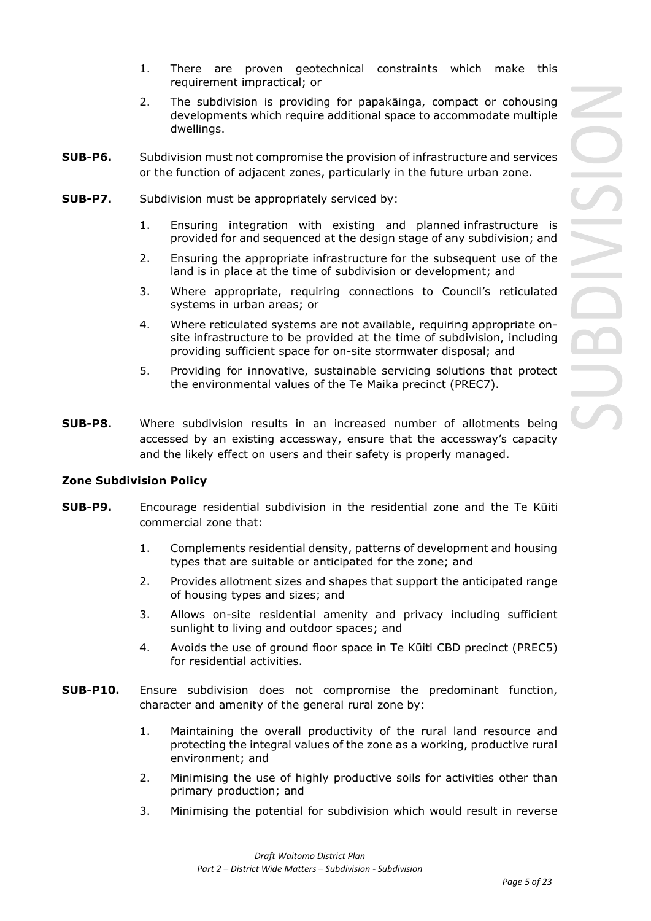- 1. There are proven geotechnical constraints which make this requirement impractical; or
- 2. The subdivision is providing for papakāinga, compact or cohousing developments which require additional space to accommodate multiple dwellings.
- **SUB-P6.** Subdivision must not compromise the provision of infrastructure and services or the function of adjacent zones, particularly in the future urban zone.
- **SUB-P7.** Subdivision must be appropriately serviced by:
	- 1. Ensuring integration with existing and planned infrastructure is provided for and sequenced at the design stage of any subdivision; and
	- 2. Ensuring the appropriate infrastructure for the subsequent use of the land is in place at the time of subdivision or development; and
	- 3. Where appropriate, requiring connections to Council's reticulated systems in urban areas; or
	- 4. Where reticulated systems are not available, requiring appropriate onsite infrastructure to be provided at the time of subdivision, including providing sufficient space for on-site stormwater disposal; and
	- 5. Providing for innovative, sustainable servicing solutions that protect the environmental values of the Te Maika precinct (PREC7).
- **SUB-P8.** Where subdivision results in an increased number of allotments being accessed by an existing accessway, ensure that the accessway's capacity and the likely effect on users and their safety is properly managed.

### **Zone Subdivision Policy**

- **SUB-P9.** Encourage residential subdivision in the residential zone and the Te Kūiti commercial zone that:
	- 1. Complements residential density, patterns of development and housing types that are suitable or anticipated for the zone; and
	- 2. Provides allotment sizes and shapes that support the anticipated range of housing types and sizes; and
	- 3. Allows on-site residential amenity and privacy including sufficient sunlight to living and outdoor spaces; and
	- 4. Avoids the use of ground floor space in Te Kūiti CBD precinct (PREC5) for residential activities.
- **SUB-P10.** Ensure subdivision does not compromise the predominant function, character and amenity of the general rural zone by:
	- 1. Maintaining the overall productivity of the rural land resource and protecting the integral values of the zone as a working, productive rural environment; and
	- 2. Minimising the use of highly productive soils for activities other than primary production; and
	- 3. Minimising the potential for subdivision which would result in reverse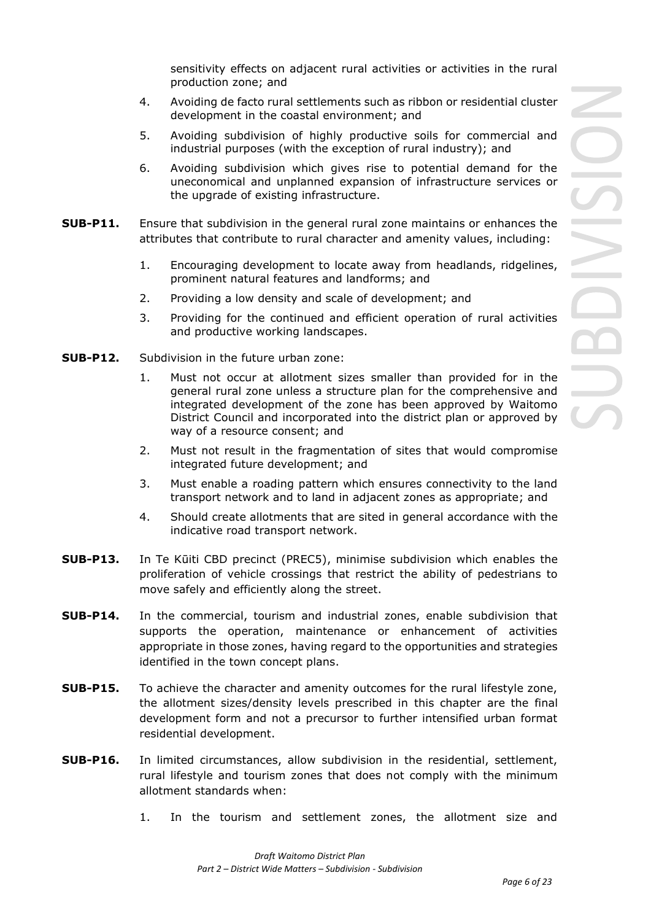sensitivity effects on adjacent rural activities or activities in the rural production zone; and

- 4. Avoiding de facto rural settlements such as ribbon or residential cluster development in the coastal environment; and
- 5. Avoiding subdivision of highly productive soils for commercial and industrial purposes (with the exception of rural industry); and
- 6. Avoiding subdivision which gives rise to potential demand for the uneconomical and unplanned expansion of infrastructure services or the upgrade of existing infrastructure.
- **SUB-P11.** Ensure that subdivision in the general rural zone maintains or enhances the attributes that contribute to rural character and amenity values, including:
	- 1. Encouraging development to locate away from headlands, ridgelines, prominent natural features and landforms; and
	- 2. Providing a low density and scale of development; and
	- 3. Providing for the continued and efficient operation of rural activities and productive working landscapes.
- **SUB-P12.** Subdivision in the [future urban zone:](javascript:void(0))
	- 1. Must not occur at allotment sizes smaller than provided for in the general rural zone unless a structure plan for the comprehensive and integrated development of the zone has been approved by Waitomo District Council and incorporated into the district plan or approved by way of a resource consent; and
	- 2. Must not result in the fragmentation of sites that would compromise integrated future development; and
	- 3. Must enable a roading pattern which ensures connectivity to the land transport network and to land in adjacent zones as appropriate; and
	- 4. Should create allotments that are sited in general accordance with the indicative road transport network.
- **SUB-P13.** In Te Kūiti CBD precinct (PREC5), minimise subdivision which enables the proliferation of vehicle crossings that restrict the ability of pedestrians to move safely and efficiently along the street.
- **SUB-P14.** In the commercial, tourism and industrial zones, enable subdivision that supports the operation, maintenance or enhancement of activities appropriate in those zones, having regard to the opportunities and strategies identified in the town concept plans.
- **SUB-P15.** To achieve the character and amenity outcomes for the rural lifestyle zone, the allotment sizes/density levels prescribed in this chapter are the final development form and not a precursor to further intensified urban format residential development.
- **SUB-P16.** In limited circumstances, allow subdivision in the residential, settlement, rural lifestyle and tourism zones that does not comply with the minimum allotment standards when:
	- 1. In the tourism and settlement zones, the allotment size and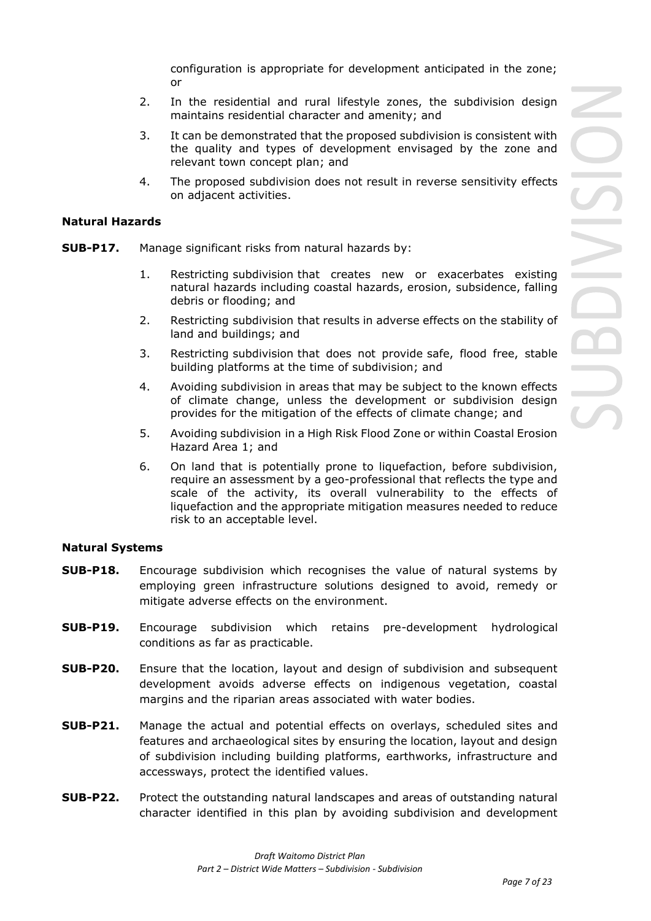configuration is appropriate for development anticipated in the zone; or

- 2. In the residential and rural lifestyle zones, the subdivision design maintains residential character and amenity; and
- 3. It can be demonstrated that the proposed subdivision is consistent with the quality and types of development envisaged by the zone and relevant town concept plan; and
- 4. The proposed subdivision does not result in reverse sensitivity effects on adjacent activities.

# **Natural Hazards**

- **SUB-P17.** Manage significant risks from natural hazards by:
	- 1. Restricting subdivision that creates new or exacerbates existing natural hazards including coastal hazards, erosion, subsidence, falling debris or flooding; and
	- 2. Restricting subdivision that results in adverse effects on the stability of land and buildings; and
	- 3. Restricting subdivision that does not provide safe, flood free, stable building platforms at the time of subdivision; and
	- 4. Avoiding subdivision in areas that may be subject to the known effects of climate change, unless the development or subdivision design provides for the mitigation of the effects of climate change; and
	- 5. Avoiding subdivision in a High Risk Flood Zone or within Coastal Erosion Hazard Area 1; and
	- 6. On land that is potentially prone to liquefaction, before subdivision, require an assessment by a geo-professional that reflects the type and scale of the activity, its overall vulnerability to the effects of liquefaction and the appropriate mitigation measures needed to reduce risk to an acceptable level.

# **Natural Systems**

- **SUB-P18.** Encourage subdivision which recognises the value of natural systems by employing green infrastructure solutions designed to avoid, remedy or mitigate adverse effects on the environment.
- **SUB-P19.** Encourage subdivision which retains pre-development hydrological conditions as far as practicable.
- **SUB-P20.** Ensure that the location, layout and design of subdivision and subsequent development avoids adverse effects on indigenous vegetation, coastal margins and the riparian areas associated with water bodies.
- **SUB-P21.** Manage the actual and potential effects on overlays, scheduled sites and features and archaeological sites by ensuring the location, layout and design of subdivision including building platforms, earthworks, infrastructure and accessways, protect the identified values.
- **SUB-P22.** Protect the outstanding natural landscapes and areas of outstanding natural character identified in this plan by avoiding subdivision and development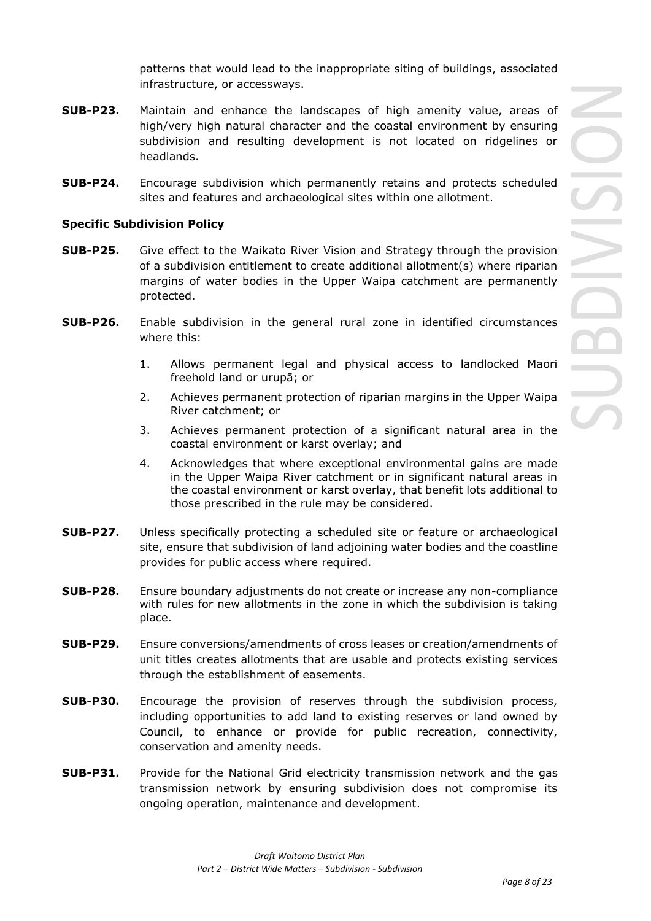patterns that would lead to the inappropriate siting of buildings, associated infrastructure, or accessways.

- **SUB-P23.** Maintain and enhance the landscapes of high amenity value, areas of high/very high natural character and the coastal environment by ensuring subdivision and resulting development is not located on ridgelines or headlands.
- **SUB-P24.** Encourage subdivision which permanently retains and protects scheduled sites and features and archaeological sites within one allotment.

# **Specific Subdivision Policy**

- **SUB-P25.** Give effect to the Waikato River Vision and Strategy through the provision of a subdivision entitlement to create additional allotment(s) where riparian margins of water bodies in the Upper Waipa catchment are permanently protected.
- **SUB-P26.** Enable subdivision in the general rural zone in identified circumstances where this:
	- 1. Allows permanent legal and physical access to landlocked Maori freehold land or urupā; or
	- 2. Achieves permanent protection of riparian margins in the Upper Waipa River catchment; or
	- 3. Achieves permanent protection of a significant natural area in the coastal environment or karst overlay; and
	- 4. Acknowledges that where exceptional environmental gains are made in the Upper Waipa River catchment or in significant natural areas in the coastal environment or karst overlay, that benefit lots additional to those prescribed in the rule may be considered.
- **SUB-P27.** Unless specifically protecting a scheduled site or feature or archaeological site, ensure that subdivision of land adjoining water bodies and the coastline provides for public access where required.
- **SUB-P28.** Ensure boundary adjustments do not create or increase any non-compliance with rules for new allotments in the zone in which the subdivision is taking place.
- **SUB-P29.** Ensure conversions/amendments of cross leases or creation/amendments of unit titles creates allotments that are usable and protects existing services through the establishment of easements.
- **SUB-P30.** Encourage the provision of reserves through the subdivision process, including opportunities to add land to existing reserves or land owned by Council, to enhance or provide for public recreation, connectivity, conservation and amenity needs.
- **SUB-P31.** Provide for the National Grid electricity transmission network and the gas transmission network by ensuring subdivision does not compromise its ongoing operation, maintenance and development.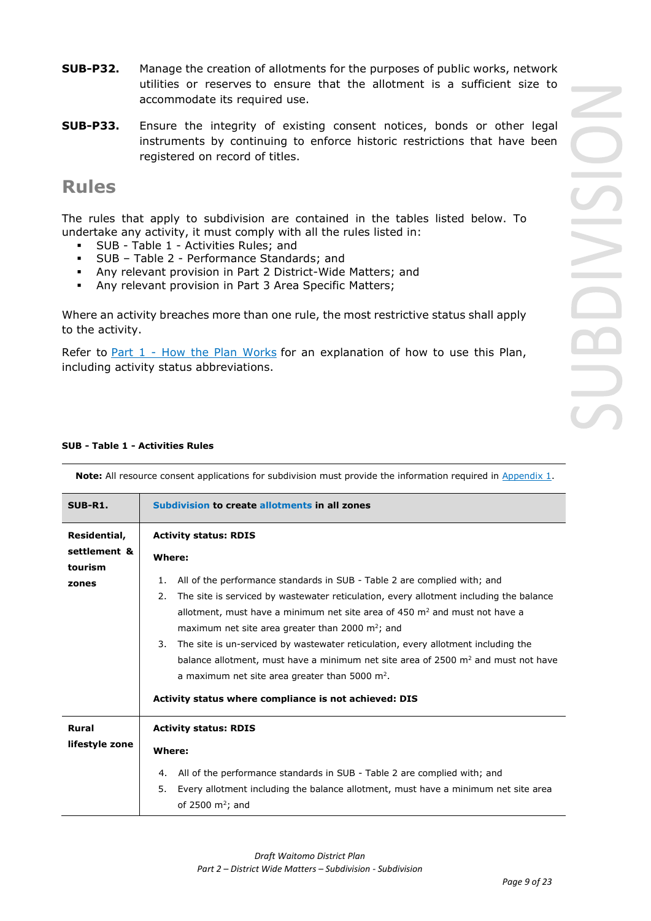- **SUB-P32.** Manage the creation of allotments for the purposes of public works, network utilities or reserves to ensure that the allotment is a sufficient size to accommodate its required use.
- **SUB-P33.** Ensure the integrity of existing consent notices, bonds or other legal instruments by continuing to enforce historic restrictions that have been registered on record of titles.

# **Rules**

The rules that apply to subdivision are contained in the tables listed below. To undertake any activity, it must comply with all the rules listed in:

- SUB Table 1 Activities Rules; and
- SUB Table 2 Performance Standards; and
- Any relevant provision in Part 2 District-Wide Matters; and
- Any relevant provision in Part 3 Area Specific Matters;

Where an activity breaches more than one rule, the most restrictive status shall apply to the activity.

Refer to [Part 1](javascript:void(0)) - How the Plan Works for an explanation of how to use this Plan, including activity status abbreviations.

# **SUB - Table 1 - Activities Rules**

| SUB-R1.                                 | Subdivision to create allotments in all zones                                                                                                                                                                                                                                                                                                                                                                                                                                                                                                                                                                                  |
|-----------------------------------------|--------------------------------------------------------------------------------------------------------------------------------------------------------------------------------------------------------------------------------------------------------------------------------------------------------------------------------------------------------------------------------------------------------------------------------------------------------------------------------------------------------------------------------------------------------------------------------------------------------------------------------|
| Residential,<br>settlement &<br>tourism | <b>Activity status: RDIS</b><br>Where:                                                                                                                                                                                                                                                                                                                                                                                                                                                                                                                                                                                         |
| zones                                   | All of the performance standards in SUB - Table 2 are complied with; and<br>1.<br>The site is serviced by wastewater reticulation, every allotment including the balance<br>2.<br>allotment, must have a minimum net site area of 450 $m2$ and must not have a<br>maximum net site area greater than 2000 $m^2$ ; and<br>The site is un-serviced by wastewater reticulation, every allotment including the<br>3.<br>balance allotment, must have a minimum net site area of 2500 m <sup>2</sup> and must not have<br>a maximum net site area greater than 5000 $m2$ .<br>Activity status where compliance is not achieved: DIS |
| <b>Rural</b><br>lifestyle zone          | <b>Activity status: RDIS</b><br>Where:<br>All of the performance standards in SUB - Table 2 are complied with; and<br>4.<br>Every allotment including the balance allotment, must have a minimum net site area<br>5.<br>of 2500 $m^2$ ; and                                                                                                                                                                                                                                                                                                                                                                                    |

**Note:** All resource consent applications for subdivision must provide the information required in Appendix 1.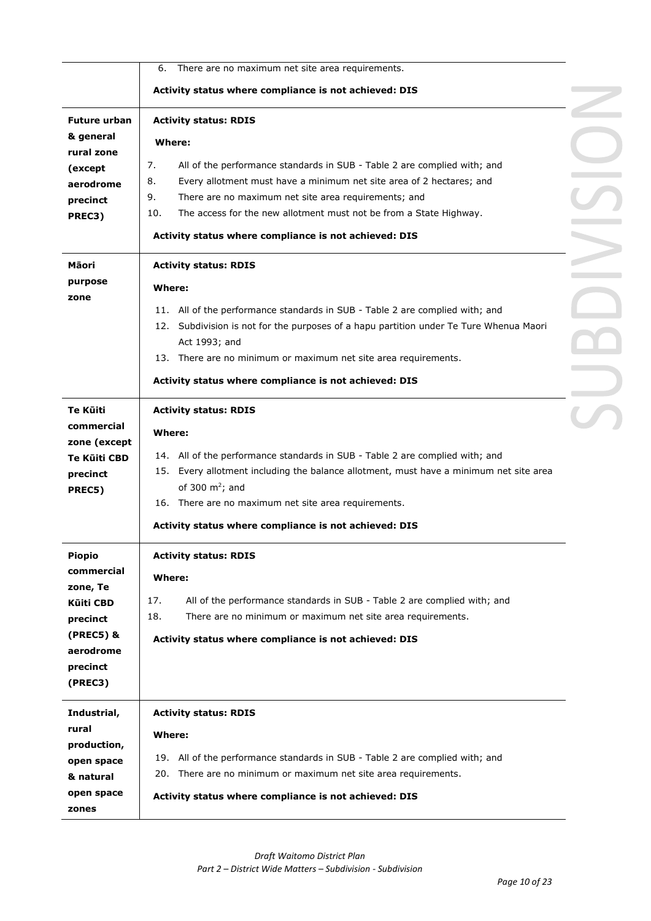|                       | There are no maximum net site area requirements.<br>6.                                                                                                       |  |
|-----------------------|--------------------------------------------------------------------------------------------------------------------------------------------------------------|--|
|                       | Activity status where compliance is not achieved: DIS                                                                                                        |  |
| <b>Future urban</b>   | <b>Activity status: RDIS</b>                                                                                                                                 |  |
| & general             | Where:                                                                                                                                                       |  |
| rural zone            |                                                                                                                                                              |  |
| (except               | 7.<br>All of the performance standards in SUB - Table 2 are complied with; and<br>8.<br>Every allotment must have a minimum net site area of 2 hectares; and |  |
| aerodrome             | 9.<br>There are no maximum net site area requirements; and                                                                                                   |  |
| precinct              | 10.<br>The access for the new allotment must not be from a State Highway.                                                                                    |  |
| PREC3)                | Activity status where compliance is not achieved: DIS                                                                                                        |  |
| Māori                 | <b>Activity status: RDIS</b>                                                                                                                                 |  |
| purpose               | Where:                                                                                                                                                       |  |
| zone                  | 11. All of the performance standards in SUB - Table 2 are complied with; and                                                                                 |  |
|                       | 12. Subdivision is not for the purposes of a hapu partition under Te Ture Whenua Maori                                                                       |  |
|                       | Act 1993; and                                                                                                                                                |  |
|                       | 13. There are no minimum or maximum net site area requirements.                                                                                              |  |
|                       | Activity status where compliance is not achieved: DIS                                                                                                        |  |
| Te Kūiti              | <b>Activity status: RDIS</b>                                                                                                                                 |  |
| commercial            | Where:                                                                                                                                                       |  |
| zone (except          |                                                                                                                                                              |  |
| Te Kūiti CBD          | 14. All of the performance standards in SUB - Table 2 are complied with; and                                                                                 |  |
| precinct              | 15. Every allotment including the balance allotment, must have a minimum net site area                                                                       |  |
| PREC5)                | of 300 $m^2$ ; and<br>16. There are no maximum net site area requirements.                                                                                   |  |
|                       |                                                                                                                                                              |  |
|                       | Activity status where compliance is not achieved: DIS                                                                                                        |  |
| <b>Piopio</b>         | <b>Activity status: RDIS</b>                                                                                                                                 |  |
| commercial            | <b>Where:</b>                                                                                                                                                |  |
| zone, Te              | 17.<br>All of the performance standards in SUB - Table 2 are complied with; and                                                                              |  |
| <b>Kūiti CBD</b>      | 18.<br>There are no minimum or maximum net site area requirements.                                                                                           |  |
| precinct<br>(PREC5) & |                                                                                                                                                              |  |
| aerodrome             | Activity status where compliance is not achieved: DIS                                                                                                        |  |
| precinct              |                                                                                                                                                              |  |
| (PREC3)               |                                                                                                                                                              |  |
| Industrial,           | <b>Activity status: RDIS</b>                                                                                                                                 |  |
| rural                 | Where:                                                                                                                                                       |  |
| production,           |                                                                                                                                                              |  |
| open space            | 19. All of the performance standards in SUB - Table 2 are complied with; and                                                                                 |  |
| & natural             | 20. There are no minimum or maximum net site area requirements.                                                                                              |  |
| open space<br>zones   | Activity status where compliance is not achieved: DIS                                                                                                        |  |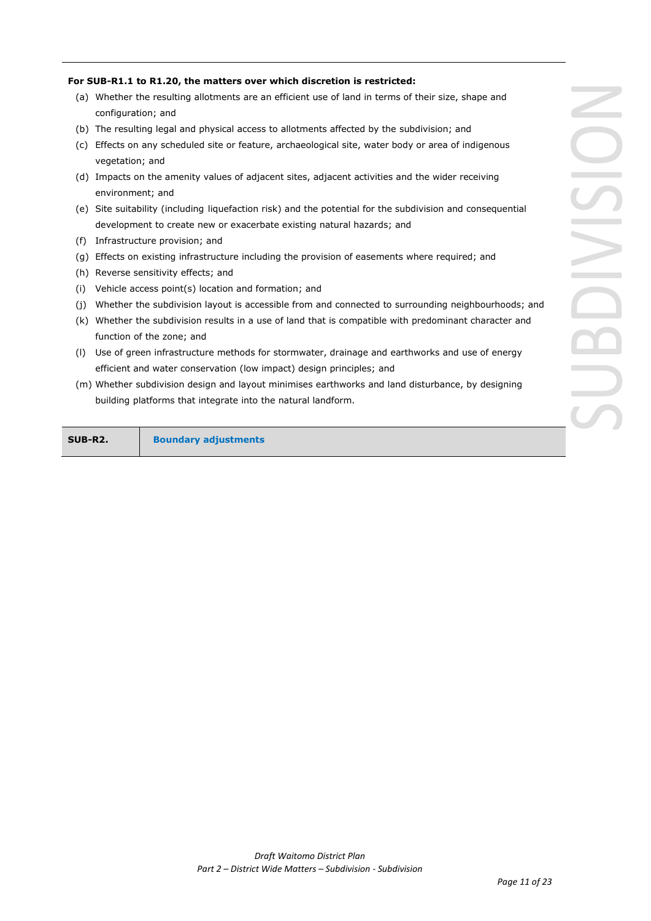### **For SUB-R1.1 to R1.20, the matters over which discretion is restricted:**

- (a) Whether the resulting allotments are an efficient use of land in terms of their size, shape and configuration; and
- (b) The resulting legal and physical access to allotments affected by the subdivision; and
- (c) Effects on any scheduled site or feature, archaeological site, water body or area of indigenous vegetation; and
- (d) Impacts on the amenity values of adjacent sites, adjacent activities and the wider receiving environment; and
- (e) Site suitability (including liquefaction risk) and the potential for the subdivision and consequential development to create new or exacerbate existing natural hazards; and
- (f) Infrastructure provision; and
- (g) Effects on existing infrastructure including the provision of easements where required; and
- (h) Reverse sensitivity effects; and
- (i) Vehicle access point(s) location and formation; and
- (j) Whether the subdivision layout is accessible from and connected to surrounding neighbourhoods; and
- (k) Whether the subdivision results in a use of land that is compatible with predominant character and function of the zone; and
- (l) Use of green infrastructure methods for stormwater, drainage and earthworks and use of energy efficient and water conservation (low impact) design principles; and
- (m) Whether subdivision design and layout minimises earthworks and land disturbance, by designing building platforms that integrate into the natural landform.

**SUB-R2. Boundary adjustments**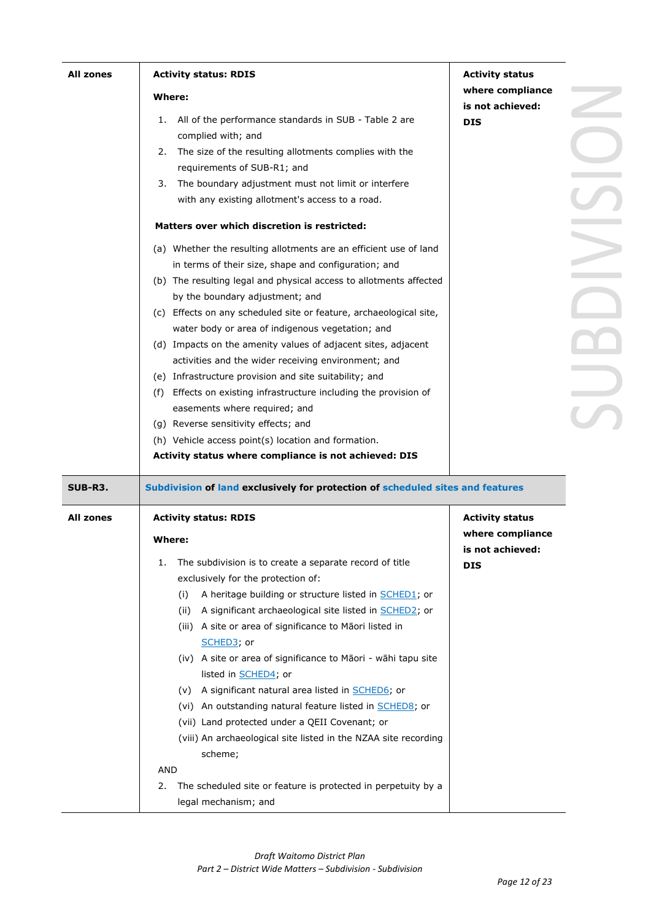| <b>All zones</b> | <b>Activity status: RDIS</b>                                                                  | <b>Activity status</b> |
|------------------|-----------------------------------------------------------------------------------------------|------------------------|
|                  | Where:                                                                                        | where compliance       |
|                  |                                                                                               | is not achieved:       |
|                  | All of the performance standards in SUB - Table 2 are<br>1.<br>complied with; and             | <b>DIS</b>             |
|                  | The size of the resulting allotments complies with the<br>2.                                  |                        |
|                  | requirements of SUB-R1; and                                                                   |                        |
|                  | The boundary adjustment must not limit or interfere<br>3.                                     |                        |
|                  | with any existing allotment's access to a road.                                               |                        |
|                  | Matters over which discretion is restricted:                                                  |                        |
|                  | (a) Whether the resulting allotments are an efficient use of land                             |                        |
|                  | in terms of their size, shape and configuration; and                                          |                        |
|                  | (b) The resulting legal and physical access to allotments affected                            |                        |
|                  | by the boundary adjustment; and                                                               |                        |
|                  | (c) Effects on any scheduled site or feature, archaeological site,                            |                        |
|                  | water body or area of indigenous vegetation; and                                              |                        |
|                  | (d) Impacts on the amenity values of adjacent sites, adjacent                                 |                        |
|                  | activities and the wider receiving environment; and                                           |                        |
|                  | (e) Infrastructure provision and site suitability; and                                        |                        |
|                  | (f) Effects on existing infrastructure including the provision of                             |                        |
|                  | easements where required; and                                                                 |                        |
|                  | (g) Reverse sensitivity effects; and                                                          |                        |
|                  | (h) Vehicle access point(s) location and formation.                                           |                        |
|                  | Activity status where compliance is not achieved: DIS                                         |                        |
| SUB-R3.          | Subdivision of land exclusively for protection of scheduled sites and features                |                        |
| <b>All zones</b> | <b>Activity status: RDIS</b>                                                                  | <b>Activity status</b> |
|                  | <b>Where:</b>                                                                                 | where compliance       |
|                  |                                                                                               | is not achieved:       |
|                  | The subdivision is to create a separate record of title<br>1.                                 | <b>DIS</b>             |
|                  | exclusively for the protection of:                                                            |                        |
|                  | A heritage building or structure listed in <b>SCHED1</b> ; or<br>(i)                          |                        |
|                  | A significant archaeological site listed in <b>SCHED2</b> ; or<br>(ii)                        |                        |
|                  | A site or area of significance to Māori listed in<br>(iii)                                    |                        |
|                  | SCHED3; or                                                                                    |                        |
|                  | (iv) A site or area of significance to Māori - wāhi tapu site<br>listed in <b>SCHED4</b> ; or |                        |
|                  |                                                                                               |                        |
|                  | A significant natural area listed in <b>SCHED6</b> ; or<br>(v)                                |                        |
|                  | (vi) An outstanding natural feature listed in <b>SCHED8</b> ; or                              |                        |
|                  | (vii) Land protected under a QEII Covenant; or                                                |                        |
|                  | (viii) An archaeological site listed in the NZAA site recording                               |                        |
|                  | scheme;                                                                                       |                        |
|                  | AND                                                                                           |                        |
|                  | The scheduled site or feature is protected in perpetuity by a<br>2.<br>legal mechanism; and   |                        |
|                  |                                                                                               |                        |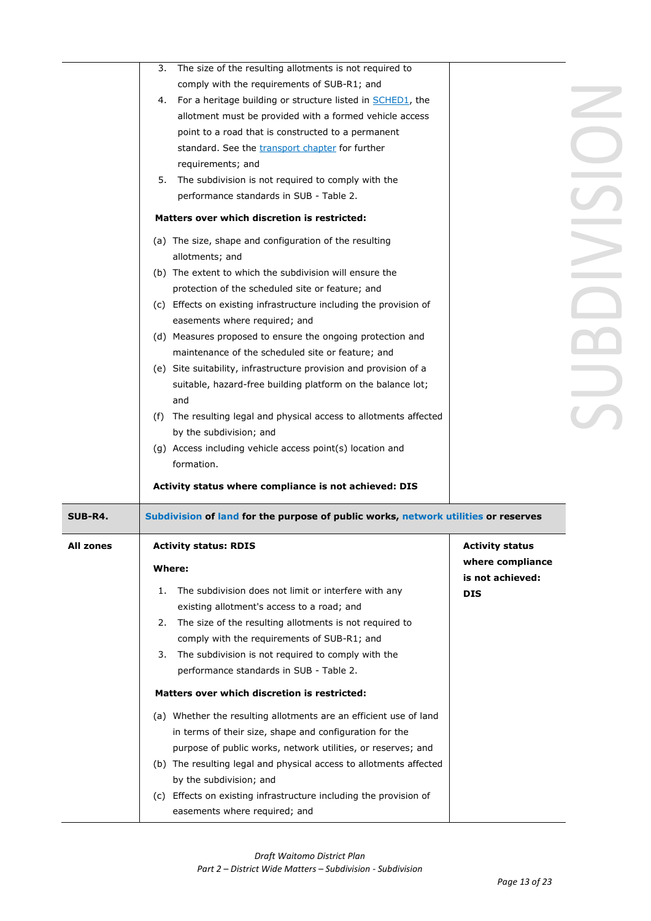|                  | The size of the resulting allotments is not required to<br>3.                      |                        |
|------------------|------------------------------------------------------------------------------------|------------------------|
|                  | comply with the requirements of SUB-R1; and                                        |                        |
|                  | 4. For a heritage building or structure listed in <b>SCHED1</b> , the              |                        |
|                  | allotment must be provided with a formed vehicle access                            |                        |
|                  | point to a road that is constructed to a permanent                                 |                        |
|                  | standard. See the transport chapter for further                                    |                        |
|                  | requirements; and                                                                  |                        |
|                  | 5. The subdivision is not required to comply with the                              |                        |
|                  | performance standards in SUB - Table 2.                                            |                        |
|                  | Matters over which discretion is restricted:                                       |                        |
|                  | (a) The size, shape and configuration of the resulting                             |                        |
|                  | allotments; and                                                                    |                        |
|                  | (b) The extent to which the subdivision will ensure the                            |                        |
|                  | protection of the scheduled site or feature; and                                   |                        |
|                  | (c) Effects on existing infrastructure including the provision of                  |                        |
|                  | easements where required; and                                                      |                        |
|                  | (d) Measures proposed to ensure the ongoing protection and                         |                        |
|                  | maintenance of the scheduled site or feature; and                                  |                        |
|                  | (e) Site suitability, infrastructure provision and provision of a                  |                        |
|                  | suitable, hazard-free building platform on the balance lot;                        |                        |
|                  | and                                                                                |                        |
|                  | (f) The resulting legal and physical access to allotments affected                 |                        |
|                  | by the subdivision; and                                                            |                        |
|                  | (g) Access including vehicle access point(s) location and                          |                        |
|                  | formation.                                                                         |                        |
|                  | Activity status where compliance is not achieved: DIS                              |                        |
| <b>SUB-R4.</b>   | Subdivision of land for the purpose of public works, network utilities or reserves |                        |
| <b>All zones</b> | <b>Activity status: RDIS</b>                                                       | <b>Activity status</b> |
|                  | Where:                                                                             | where compliance       |
|                  |                                                                                    | is not achieved:       |
|                  | The subdivision does not limit or interfere with any<br>1.                         | <b>DIS</b>             |
|                  | existing allotment's access to a road; and                                         |                        |
|                  | The size of the resulting allotments is not required to<br>2.                      |                        |
|                  | comply with the requirements of SUB-R1; and                                        |                        |
|                  | The subdivision is not required to comply with the<br>3.                           |                        |
|                  | performance standards in SUB - Table 2.                                            |                        |
|                  | Matters over which discretion is restricted:                                       |                        |
|                  | (a) Whether the resulting allotments are an efficient use of land                  |                        |
|                  | in terms of their size, shape and configuration for the                            |                        |
|                  | purpose of public works, network utilities, or reserves; and                       |                        |
|                  | (b) The resulting legal and physical access to allotments affected                 |                        |
|                  | by the subdivision; and                                                            |                        |
|                  | (c) Effects on existing infrastructure including the provision of                  |                        |
|                  | easements where required; and                                                      |                        |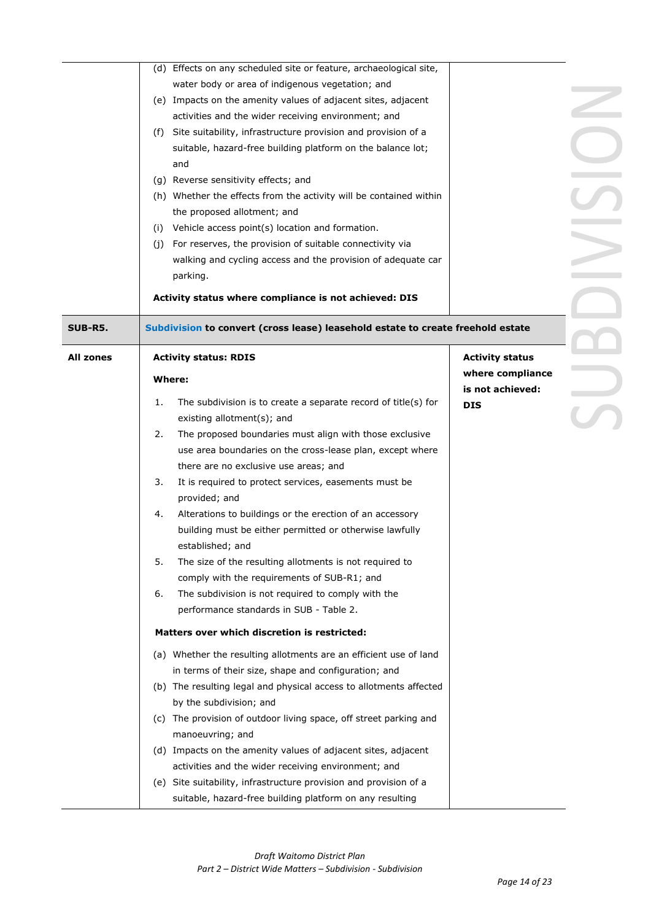|                  | (d) Effects on any scheduled site or feature, archaeological site,              |                        |
|------------------|---------------------------------------------------------------------------------|------------------------|
|                  | water body or area of indigenous vegetation; and                                |                        |
|                  | (e) Impacts on the amenity values of adjacent sites, adjacent                   |                        |
|                  | activities and the wider receiving environment; and                             |                        |
|                  | Site suitability, infrastructure provision and provision of a<br>(f)            |                        |
|                  | suitable, hazard-free building platform on the balance lot;                     |                        |
|                  | and                                                                             |                        |
|                  | (g) Reverse sensitivity effects; and                                            |                        |
|                  | (h) Whether the effects from the activity will be contained within              |                        |
|                  | the proposed allotment; and                                                     |                        |
|                  | Vehicle access point(s) location and formation.<br>(i)                          |                        |
|                  | For reserves, the provision of suitable connectivity via<br>(j)                 |                        |
|                  | walking and cycling access and the provision of adequate car                    |                        |
|                  | parking.                                                                        |                        |
|                  | Activity status where compliance is not achieved: DIS                           |                        |
| SUB-R5.          | Subdivision to convert (cross lease) leasehold estate to create freehold estate |                        |
| <b>All zones</b> | <b>Activity status: RDIS</b>                                                    | <b>Activity status</b> |
|                  | Where:                                                                          | where compliance       |
|                  |                                                                                 | is not achieved:       |
|                  | The subdivision is to create a separate record of title(s) for<br>1.            | <b>DIS</b>             |
|                  | existing allotment(s); and                                                      |                        |
|                  | The proposed boundaries must align with those exclusive<br>2.                   |                        |
|                  | use area boundaries on the cross-lease plan, except where                       |                        |
|                  | there are no exclusive use areas; and                                           |                        |
|                  | It is required to protect services, easements must be<br>3.                     |                        |
|                  | provided; and                                                                   |                        |
|                  | Alterations to buildings or the erection of an accessory<br>4.                  |                        |
|                  | building must be either permitted or otherwise lawfully                         |                        |
|                  | established: and                                                                |                        |
|                  | 5.<br>The size of the resulting allotments is not required to                   |                        |
|                  | comply with the requirements of SUB-R1; and                                     |                        |
|                  | The subdivision is not required to comply with the<br>6.                        |                        |
|                  | performance standards in SUB - Table 2.                                         |                        |
|                  | Matters over which discretion is restricted:                                    |                        |
|                  | (a) Whether the resulting allotments are an efficient use of land               |                        |
|                  | in terms of their size, shape and configuration; and                            |                        |
|                  | (b) The resulting legal and physical access to allotments affected              |                        |
|                  | by the subdivision; and                                                         |                        |
|                  | (c) The provision of outdoor living space, off street parking and               |                        |
|                  | manoeuvring; and                                                                |                        |
|                  | (d) Impacts on the amenity values of adjacent sites, adjacent                   |                        |
|                  | activities and the wider receiving environment; and                             |                        |
|                  | (e) Site suitability, infrastructure provision and provision of a               |                        |
|                  | suitable, hazard-free building platform on any resulting                        |                        |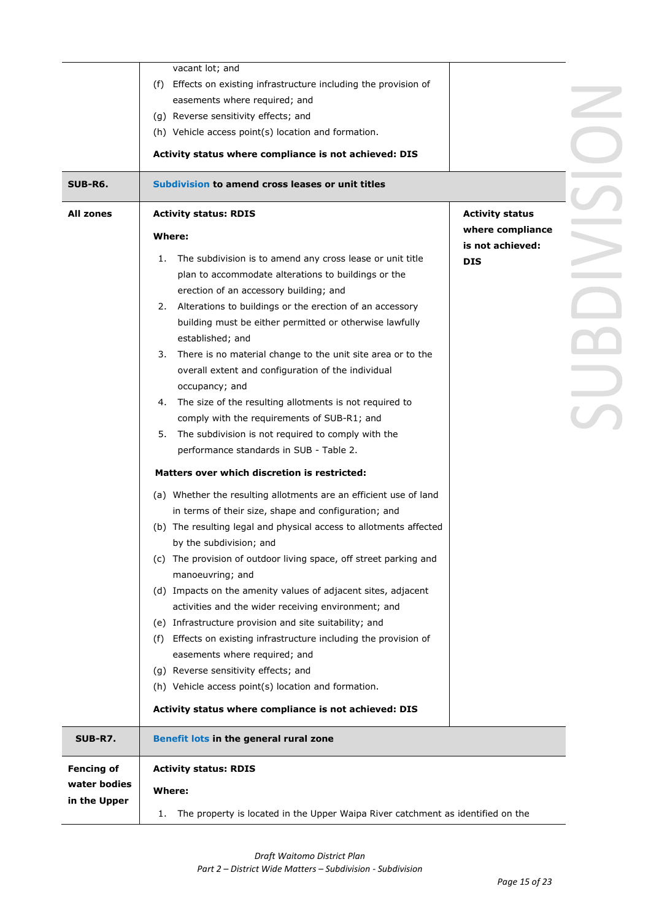|                   | vacant lot; and                                                                       |                        |  |
|-------------------|---------------------------------------------------------------------------------------|------------------------|--|
|                   | Effects on existing infrastructure including the provision of<br>(f)                  |                        |  |
|                   | easements where required; and                                                         |                        |  |
|                   |                                                                                       |                        |  |
|                   | (g) Reverse sensitivity effects; and                                                  |                        |  |
|                   | (h) Vehicle access point(s) location and formation.                                   |                        |  |
|                   | Activity status where compliance is not achieved: DIS                                 |                        |  |
| <b>SUB-R6.</b>    | Subdivision to amend cross leases or unit titles                                      |                        |  |
| <b>All zones</b>  | <b>Activity status: RDIS</b>                                                          | <b>Activity status</b> |  |
|                   | Where:                                                                                | where compliance       |  |
|                   |                                                                                       | is not achieved:       |  |
|                   | The subdivision is to amend any cross lease or unit title<br>1.                       | <b>DIS</b>             |  |
|                   | plan to accommodate alterations to buildings or the                                   |                        |  |
|                   | erection of an accessory building; and                                                |                        |  |
|                   | Alterations to buildings or the erection of an accessory<br>2.                        |                        |  |
|                   | building must be either permitted or otherwise lawfully                               |                        |  |
|                   | established; and                                                                      |                        |  |
|                   | There is no material change to the unit site area or to the<br>3.                     |                        |  |
|                   | overall extent and configuration of the individual                                    |                        |  |
|                   | occupancy; and                                                                        |                        |  |
|                   | The size of the resulting allotments is not required to<br>4.                         |                        |  |
|                   | comply with the requirements of SUB-R1; and                                           |                        |  |
|                   | The subdivision is not required to comply with the<br>5.                              |                        |  |
|                   | performance standards in SUB - Table 2.                                               |                        |  |
|                   | Matters over which discretion is restricted:                                          |                        |  |
|                   | (a) Whether the resulting allotments are an efficient use of land                     |                        |  |
|                   | in terms of their size, shape and configuration; and                                  |                        |  |
|                   | (b) The resulting legal and physical access to allotments affected                    |                        |  |
|                   | by the subdivision; and                                                               |                        |  |
|                   | (c) The provision of outdoor living space, off street parking and                     |                        |  |
|                   | manoeuvring; and                                                                      |                        |  |
|                   | (d) Impacts on the amenity values of adjacent sites, adjacent                         |                        |  |
|                   | activities and the wider receiving environment; and                                   |                        |  |
|                   | (e) Infrastructure provision and site suitability; and                                |                        |  |
|                   | Effects on existing infrastructure including the provision of<br>(f)                  |                        |  |
|                   | easements where required; and                                                         |                        |  |
|                   | (g) Reverse sensitivity effects; and                                                  |                        |  |
|                   | (h) Vehicle access point(s) location and formation.                                   |                        |  |
|                   |                                                                                       |                        |  |
|                   | Activity status where compliance is not achieved: DIS                                 |                        |  |
| <b>SUB-R7.</b>    | Benefit lots in the general rural zone                                                |                        |  |
| <b>Fencing of</b> | <b>Activity status: RDIS</b>                                                          |                        |  |
| water bodies      | <b>Where:</b>                                                                         |                        |  |
| in the Upper      | The property is located in the Upper Waipa River catchment as identified on the<br>1. |                        |  |
|                   |                                                                                       |                        |  |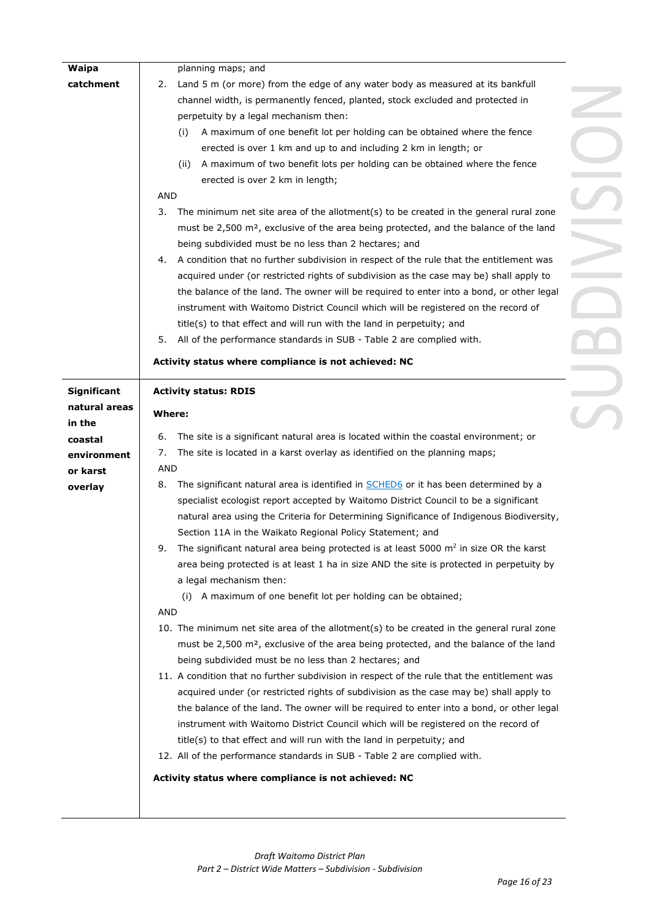| Waipa              | planning maps; and                                                                                |  |
|--------------------|---------------------------------------------------------------------------------------------------|--|
| catchment          | Land 5 m (or more) from the edge of any water body as measured at its bankfull<br>2.              |  |
|                    | channel width, is permanently fenced, planted, stock excluded and protected in                    |  |
|                    | perpetuity by a legal mechanism then:                                                             |  |
|                    | A maximum of one benefit lot per holding can be obtained where the fence<br>(i)                   |  |
|                    | erected is over 1 km and up to and including 2 km in length; or                                   |  |
|                    | A maximum of two benefit lots per holding can be obtained where the fence<br>(ii)                 |  |
|                    | erected is over 2 km in length;                                                                   |  |
|                    | <b>AND</b>                                                                                        |  |
|                    | 3.<br>The minimum net site area of the allotment(s) to be created in the general rural zone       |  |
|                    | must be 2,500 m <sup>2</sup> , exclusive of the area being protected, and the balance of the land |  |
|                    | being subdivided must be no less than 2 hectares; and                                             |  |
|                    | A condition that no further subdivision in respect of the rule that the entitlement was<br>4.     |  |
|                    | acquired under (or restricted rights of subdivision as the case may be) shall apply to            |  |
|                    |                                                                                                   |  |
|                    | the balance of the land. The owner will be required to enter into a bond, or other legal          |  |
|                    | instrument with Waitomo District Council which will be registered on the record of                |  |
|                    | title(s) to that effect and will run with the land in perpetuity; and                             |  |
|                    | All of the performance standards in SUB - Table 2 are complied with.<br>5.                        |  |
|                    | Activity status where compliance is not achieved: NC                                              |  |
| <b>Significant</b> | <b>Activity status: RDIS</b>                                                                      |  |
| natural areas      | <b>Where:</b>                                                                                     |  |
| in the             |                                                                                                   |  |
| coastal            | The site is a significant natural area is located within the coastal environment; or<br>6.        |  |
| environment        | The site is located in a karst overlay as identified on the planning maps;<br>7.                  |  |
| or karst           | <b>AND</b>                                                                                        |  |
| overlay            | The significant natural area is identified in SCHED6 or it has been determined by a<br>8.         |  |
|                    | specialist ecologist report accepted by Waitomo District Council to be a significant              |  |
|                    | natural area using the Criteria for Determining Significance of Indigenous Biodiversity,          |  |
|                    | Section 11A in the Waikato Regional Policy Statement; and                                         |  |
|                    | The significant natural area being protected is at least 5000 $m2$ in size OR the karst           |  |
|                    | area being protected is at least 1 ha in size AND the site is protected in perpetuity by          |  |
|                    | a legal mechanism then:                                                                           |  |
|                    | A maximum of one benefit lot per holding can be obtained;<br>(i)                                  |  |
|                    | AND                                                                                               |  |
|                    | 10. The minimum net site area of the allotment(s) to be created in the general rural zone         |  |
|                    | must be 2,500 m <sup>2</sup> , exclusive of the area being protected, and the balance of the land |  |
|                    | being subdivided must be no less than 2 hectares; and                                             |  |
|                    | 11. A condition that no further subdivision in respect of the rule that the entitlement was       |  |
|                    | acquired under (or restricted rights of subdivision as the case may be) shall apply to            |  |
|                    | the balance of the land. The owner will be required to enter into a bond, or other legal          |  |
|                    | instrument with Waitomo District Council which will be registered on the record of                |  |
|                    | title(s) to that effect and will run with the land in perpetuity; and                             |  |
|                    | 12. All of the performance standards in SUB - Table 2 are complied with.                          |  |
|                    |                                                                                                   |  |
|                    | Activity status where compliance is not achieved: NC                                              |  |
|                    |                                                                                                   |  |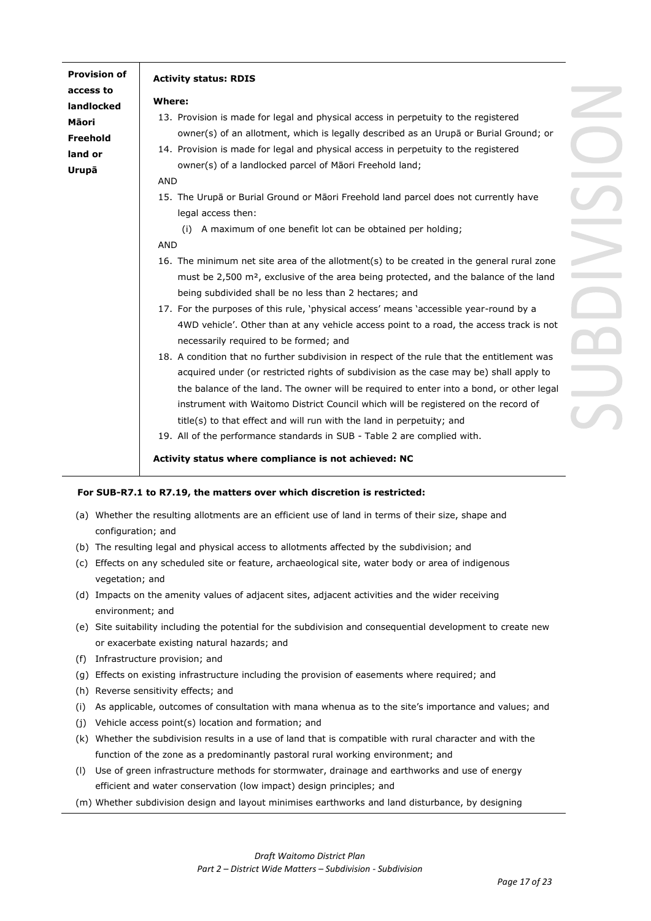| <b>Provision of</b> | <b>Activity status: RDIS</b>                                                                      |  |
|---------------------|---------------------------------------------------------------------------------------------------|--|
| access to           |                                                                                                   |  |
| landlocked          | Where:                                                                                            |  |
| Māori               | 13. Provision is made for legal and physical access in perpetuity to the registered               |  |
| Freehold            | owner(s) of an allotment, which is legally described as an Urupā or Burial Ground; or             |  |
| land or             | 14. Provision is made for legal and physical access in perpetuity to the registered               |  |
| Urupā               | owner(s) of a landlocked parcel of Māori Freehold land;                                           |  |
|                     | <b>AND</b>                                                                                        |  |
|                     | 15. The Urupā or Burial Ground or Māori Freehold land parcel does not currently have              |  |
|                     | legal access then:                                                                                |  |
|                     | (i) A maximum of one benefit lot can be obtained per holding;                                     |  |
|                     | <b>AND</b>                                                                                        |  |
|                     | 16. The minimum net site area of the allotment(s) to be created in the general rural zone         |  |
|                     | must be 2,500 m <sup>2</sup> , exclusive of the area being protected, and the balance of the land |  |
|                     | being subdivided shall be no less than 2 hectares; and                                            |  |
|                     | 17. For the purposes of this rule, `physical access' means `accessible year-round by a            |  |
|                     | 4WD vehicle'. Other than at any vehicle access point to a road, the access track is not           |  |
|                     | necessarily required to be formed; and                                                            |  |
|                     | 18. A condition that no further subdivision in respect of the rule that the entitlement was       |  |
|                     | acquired under (or restricted rights of subdivision as the case may be) shall apply to            |  |
|                     | the balance of the land. The owner will be required to enter into a bond, or other legal          |  |
|                     | instrument with Waitomo District Council which will be registered on the record of                |  |
|                     | title(s) to that effect and will run with the land in perpetuity; and                             |  |
|                     | 19. All of the performance standards in SUB - Table 2 are complied with.                          |  |
|                     |                                                                                                   |  |
|                     | Activity status where compliance is not achieved: NC                                              |  |

# **For SUB-R7.1 to R7.19, the matters over which discretion is restricted:**

- (a) Whether the resulting allotments are an efficient use of land in terms of their size, shape and configuration; and
- (b) The resulting legal and physical access to allotments affected by the subdivision; and
- (c) Effects on any scheduled site or feature, archaeological site, water body or area of indigenous vegetation; and
- (d) Impacts on the amenity values of adjacent sites, adjacent activities and the wider receiving environment; and
- (e) Site suitability including the potential for the subdivision and consequential development to create new or exacerbate existing natural hazards; and
- (f) Infrastructure provision; and
- (g) Effects on existing infrastructure including the provision of easements where required; and
- (h) Reverse sensitivity effects; and
- (i) As applicable, outcomes of consultation with mana whenua as to the site's importance and values; and
- (j) Vehicle access point(s) location and formation; and
- (k) Whether the subdivision results in a use of land that is compatible with rural character and with the function of the zone as a predominantly pastoral rural working environment; and
- (l) Use of green infrastructure methods for stormwater, drainage and earthworks and use of energy efficient and water conservation (low impact) design principles; and
- (m) Whether subdivision design and layout minimises earthworks and land disturbance, by designing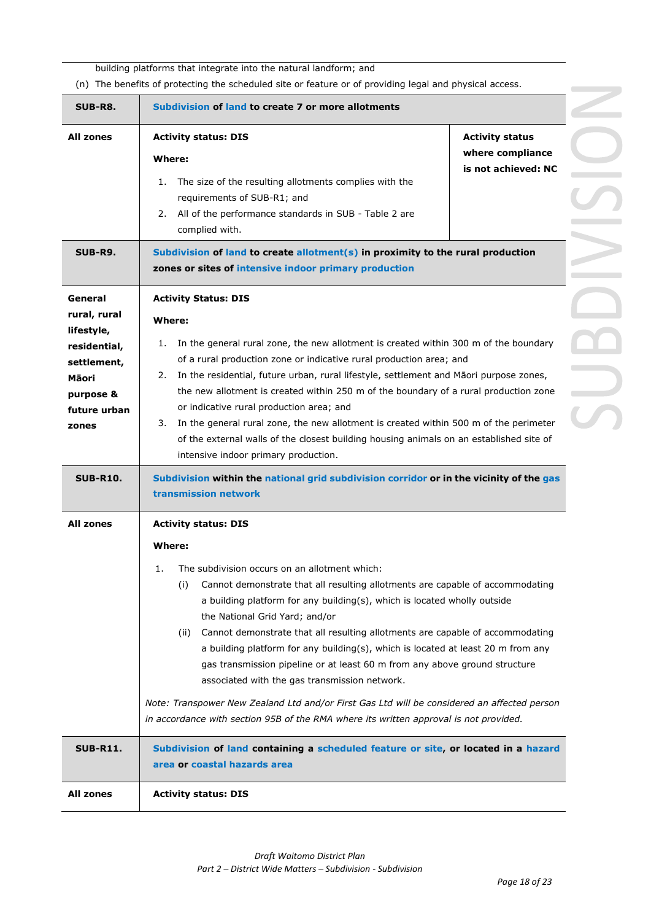building platforms that integrate into the natural landform; and

(n) The benefits of protecting the scheduled site or feature or of providing legal and physical access.

|                                                                                                                     | (ii) The benefits of protecting the scheduled site or reature or or providing legal and priysical access.                                                                                                                                                                                                                                                                                                                                                                                                                                                                                                                                                                                                                                                                                              |
|---------------------------------------------------------------------------------------------------------------------|--------------------------------------------------------------------------------------------------------------------------------------------------------------------------------------------------------------------------------------------------------------------------------------------------------------------------------------------------------------------------------------------------------------------------------------------------------------------------------------------------------------------------------------------------------------------------------------------------------------------------------------------------------------------------------------------------------------------------------------------------------------------------------------------------------|
| <b>SUB-R8.</b>                                                                                                      | Subdivision of land to create 7 or more allotments                                                                                                                                                                                                                                                                                                                                                                                                                                                                                                                                                                                                                                                                                                                                                     |
| All zones                                                                                                           | <b>Activity status: DIS</b><br><b>Activity status</b><br>where compliance<br>Where:<br>is not achieved: NC<br>The size of the resulting allotments complies with the<br>1.<br>requirements of SUB-R1; and<br>All of the performance standards in SUB - Table 2 are<br>2.<br>complied with.                                                                                                                                                                                                                                                                                                                                                                                                                                                                                                             |
| <b>SUB-R9.</b>                                                                                                      | Subdivision of land to create allotment( $s$ ) in proximity to the rural production<br>zones or sites of intensive indoor primary production                                                                                                                                                                                                                                                                                                                                                                                                                                                                                                                                                                                                                                                           |
| General<br>rural, rural<br>lifestyle,<br>residential,<br>settlement,<br>Māori<br>purpose &<br>future urban<br>zones | <b>Activity Status: DIS</b><br>Where:<br>In the general rural zone, the new allotment is created within 300 m of the boundary<br>1.<br>of a rural production zone or indicative rural production area; and<br>2. In the residential, future urban, rural lifestyle, settlement and Māori purpose zones,<br>the new allotment is created within 250 m of the boundary of a rural production zone<br>or indicative rural production area; and<br>3. In the general rural zone, the new allotment is created within 500 m of the perimeter<br>of the external walls of the closest building housing animals on an established site of<br>intensive indoor primary production.                                                                                                                             |
| <b>SUB-R10.</b>                                                                                                     | Subdivision within the national grid subdivision corridor or in the vicinity of the gas<br>transmission network                                                                                                                                                                                                                                                                                                                                                                                                                                                                                                                                                                                                                                                                                        |
| All zones                                                                                                           | <b>Activity status: DIS</b><br>Where:<br>1.<br>The subdivision occurs on an allotment which:<br>Cannot demonstrate that all resulting allotments are capable of accommodating<br>(i)<br>a building platform for any building(s), which is located wholly outside<br>the National Grid Yard; and/or<br>Cannot demonstrate that all resulting allotments are capable of accommodating<br>(ii)<br>a building platform for any building(s), which is located at least 20 m from any<br>gas transmission pipeline or at least 60 m from any above ground structure<br>associated with the gas transmission network.<br>Note: Transpower New Zealand Ltd and/or First Gas Ltd will be considered an affected person<br>in accordance with section 95B of the RMA where its written approval is not provided. |
| <b>SUB-R11.</b>                                                                                                     | Subdivision of land containing a scheduled feature or site, or located in a hazard<br>area or coastal hazards area                                                                                                                                                                                                                                                                                                                                                                                                                                                                                                                                                                                                                                                                                     |
| <b>All zones</b>                                                                                                    | <b>Activity status: DIS</b>                                                                                                                                                                                                                                                                                                                                                                                                                                                                                                                                                                                                                                                                                                                                                                            |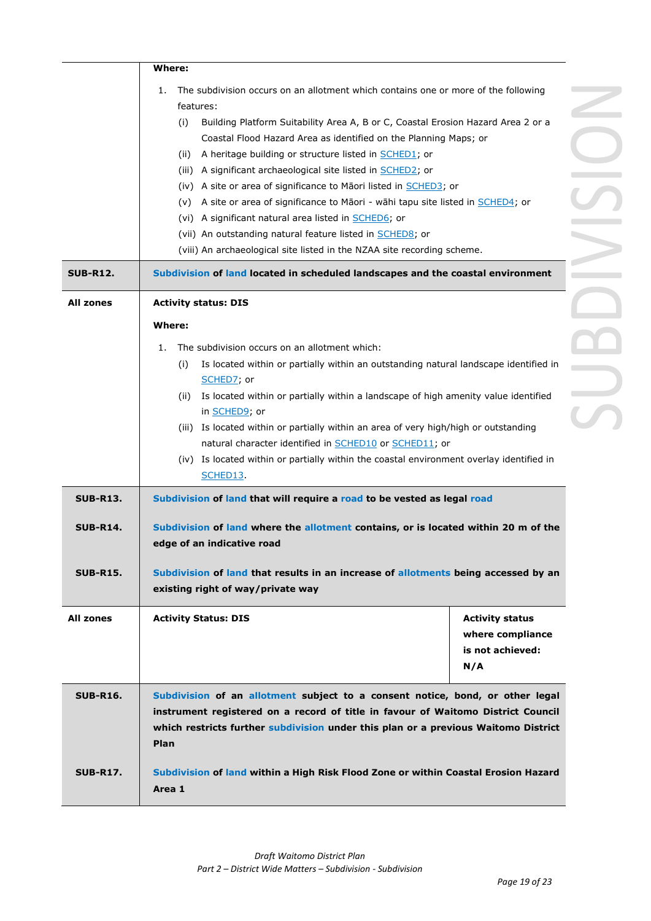|                                                       | Where:                                                                                                                                                                                                                                                                                                                                                                                                                                                                                                                                                                                                                                                                                                                                                                                                                                                                       |  |
|-------------------------------------------------------|------------------------------------------------------------------------------------------------------------------------------------------------------------------------------------------------------------------------------------------------------------------------------------------------------------------------------------------------------------------------------------------------------------------------------------------------------------------------------------------------------------------------------------------------------------------------------------------------------------------------------------------------------------------------------------------------------------------------------------------------------------------------------------------------------------------------------------------------------------------------------|--|
|                                                       | The subdivision occurs on an allotment which contains one or more of the following<br>1.<br>features:<br>Building Platform Suitability Area A, B or C, Coastal Erosion Hazard Area 2 or a<br>(i)<br>Coastal Flood Hazard Area as identified on the Planning Maps; or<br>A heritage building or structure listed in <b>SCHED1</b> ; or<br>(ii)                                                                                                                                                                                                                                                                                                                                                                                                                                                                                                                                |  |
|                                                       | (iii) A significant archaeological site listed in <b>SCHED2</b> ; or<br>(iv) A site or area of significance to Maori listed in <b>SCHED3</b> ; or<br>A site or area of significance to Māori - wāhi tapu site listed in SCHED4; or<br>(v)<br>(vi) A significant natural area listed in <b>SCHED6</b> ; or<br>(vii) An outstanding natural feature listed in <b>SCHED8</b> ; or<br>(viii) An archaeological site listed in the NZAA site recording scheme.                                                                                                                                                                                                                                                                                                                                                                                                                    |  |
| <b>SUB-R12.</b>                                       | Subdivision of land located in scheduled landscapes and the coastal environment                                                                                                                                                                                                                                                                                                                                                                                                                                                                                                                                                                                                                                                                                                                                                                                              |  |
| <b>All zones</b>                                      | <b>Activity status: DIS</b>                                                                                                                                                                                                                                                                                                                                                                                                                                                                                                                                                                                                                                                                                                                                                                                                                                                  |  |
| <b>SUB-R13.</b><br><b>SUB-R14.</b><br><b>SUB-R15.</b> | Where:<br>The subdivision occurs on an allotment which:<br>1.<br>(i)<br>Is located within or partially within an outstanding natural landscape identified in<br>SCHED7; or<br>Is located within or partially within a landscape of high amenity value identified<br>(ii)<br>in SCHED9; or<br>(iii) Is located within or partially within an area of very high/high or outstanding<br>natural character identified in SCHED10 or SCHED11; or<br>(iv) Is located within or partially within the coastal environment overlay identified in<br>SCHED13<br>Subdivision of land that will require a road to be vested as legal road<br>Subdivision of land where the allotment contains, or is located within 20 m of the<br>edge of an indicative road<br>Subdivision of land that results in an increase of allotments being accessed by an<br>existing right of way/private way |  |
| <b>All zones</b>                                      | <b>Activity Status: DIS</b><br><b>Activity status</b><br>where compliance<br>is not achieved:<br>N/A                                                                                                                                                                                                                                                                                                                                                                                                                                                                                                                                                                                                                                                                                                                                                                         |  |
| <b>SUB-R16.</b>                                       | Subdivision of an allotment subject to a consent notice, bond, or other legal<br>instrument registered on a record of title in favour of Waitomo District Council<br>which restricts further subdivision under this plan or a previous Waitomo District<br>Plan                                                                                                                                                                                                                                                                                                                                                                                                                                                                                                                                                                                                              |  |
| <b>SUB-R17.</b>                                       | Subdivision of land within a High Risk Flood Zone or within Coastal Erosion Hazard<br>Area 1                                                                                                                                                                                                                                                                                                                                                                                                                                                                                                                                                                                                                                                                                                                                                                                 |  |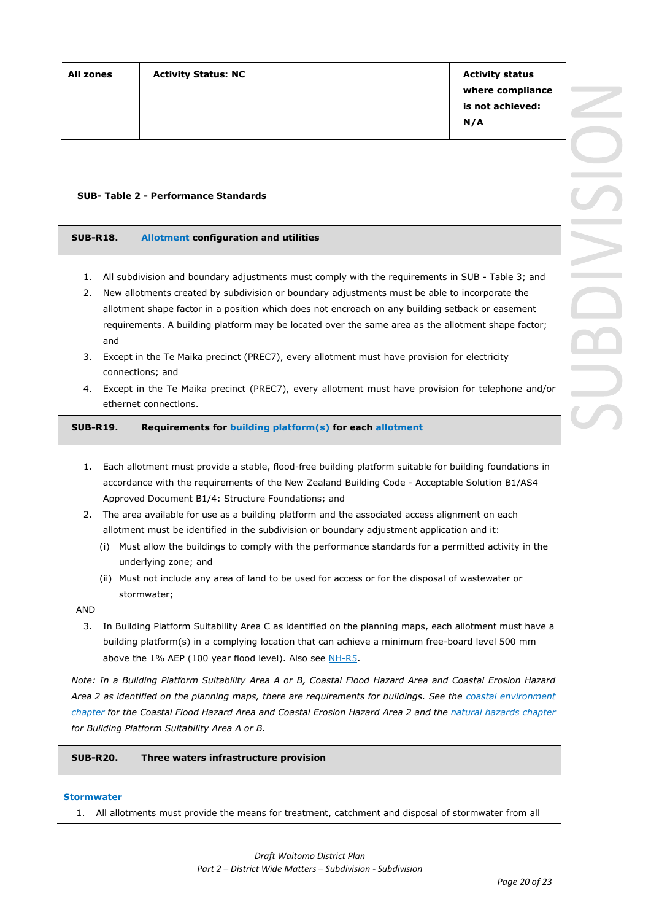**where compliance is not achieved: N/A**

#### **SUB- Table 2 - Performance Standards**

| <b>SUB-R18.</b> | <b>Allotment configuration and utilities</b> |  |
|-----------------|----------------------------------------------|--|
|                 |                                              |  |

- 1. All subdivision and boundary adjustments must comply with the requirements in SUB Table 3; and
- 2. New allotments created by subdivision or boundary adjustments must be able to incorporate the allotment shape factor in a position which does not encroach on any building setback or easement requirements. A building platform may be located over the same area as the allotment shape factor; and
- 3. Except in the Te Maika precinct (PREC7), every allotment must have provision for electricity connections; and
- 4. Except in the Te Maika precinct (PREC7), every allotment must have provision for telephone and/or ethernet connections.

**SUB-R19. Requirements for building platform(s) for each allotment**

- 1. Each allotment must provide a stable, flood-free building platform suitable for building foundations in accordance with the requirements of the New Zealand Building Code - Acceptable Solution B1/AS4 Approved Document B1/4: Structure Foundations; and
- 2. The area available for use as a building platform and the associated access alignment on each allotment must be identified in the subdivision or boundary adjustment application and it:
	- (i) Must allow the buildings to comply with the performance standards for a permitted activity in the underlying zone; and
	- (ii) Must not include any area of land to be used for access or for the disposal of wastewater or stormwater;

AND

3. In Building Platform Suitability Area C as identified on the planning maps, each allotment must have a building platform(s) in a complying location that can achieve a minimum free-board level 500 mm above the 1% AEP (100 year flood level). Also see NH-R5.

*Note: In a Building Platform Suitability Area A or B, Coastal Flood Hazard Area and Coastal Erosion Hazard Area 2 as identified on the planning maps, there are requirements for buildings. See the coastal environment chapter for the Coastal Flood Hazard Area and Coastal Erosion Hazard Area 2 and the natural hazards chapter for Building Platform Suitability Area A or B.* 

| <b>SUB-R20.</b> | Three waters infrastructure provision |
|-----------------|---------------------------------------|
|-----------------|---------------------------------------|

#### **Stormwater**

1. All allotments must provide the means for treatment, catchment and disposal of stormwater from all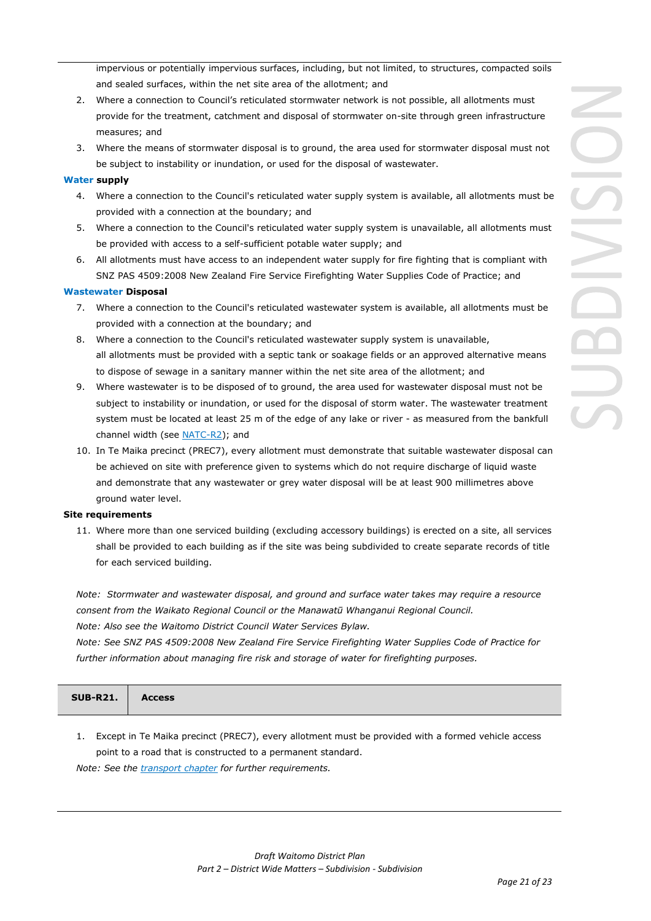impervious or potentially impervious surfaces, including, but not limited, to structures, compacted soils and sealed surfaces, within the net site area of the allotment; and

- 2. Where a connection to Council's reticulated stormwater network is not possible, all allotments must provide for the treatment, catchment and disposal of stormwater on-site through green infrastructure measures; and
- 3. Where the means of stormwater disposal is to ground, the area used for stormwater disposal must not be subject to instability or inundation, or used for the disposal of wastewater.

### **Water supply**

- 4. Where a connection to the Council's reticulated water supply system is available, all allotments must be provided with a connection at the boundary; and
- 5. Where a connection to the Council's reticulated water supply system is unavailable, all allotments must be provided with access to a self-sufficient potable water supply; and
- 6. All allotments must have access to an independent water supply for fire fighting that is compliant with SNZ PAS 4509:2008 New Zealand Fire Service Firefighting Water Supplies Code of Practice; and

#### **Wastewater Disposal**

- 7. Where a connection to the Council's reticulated wastewater system is available, all allotments must be provided with a connection at the boundary; and
- 8. Where a connection to the Council's reticulated wastewater supply system is unavailable, all allotments must be provided with a septic tank or soakage fields or an approved alternative means to dispose of sewage in a sanitary manner within the net site area of the allotment; and
- 9. Where wastewater is to be disposed of to ground, the area used for wastewater disposal must not be subject to instability or inundation, or used for the disposal of storm water. The wastewater treatment system must be located at least 25 m of the edge of any lake or river - as measured from the bankfull channel width (see NATC-R2); and
- 10. In Te Maika precinct (PREC7), every allotment must demonstrate that suitable wastewater disposal can be achieved on site with preference given to systems which do not require discharge of liquid waste and demonstrate that any wastewater or grey water disposal will be at least 900 millimetres above ground water level.

#### **Site requirements**

11. Where more than one serviced building (excluding accessory buildings) is erected on a site, all services shall be provided to each building as if the site was being subdivided to create separate records of title for each serviced building.

*Note: Stormwater and wastewater disposal, and ground and surface water takes may require a resource consent from the Waikato Regional Council or the Manawatū Whanganui Regional Council. Note: Also see the Waitomo District Council Water Services Bylaw.*

*Note: See SNZ PAS 4509:2008 New Zealand Fire Service Firefighting Water Supplies Code of Practice for further information about managing fire risk and storage of water for firefighting purposes.*

| SUB-R21. Access |
|-----------------|
|-----------------|

1. Except in Te Maika precinct (PREC7), every allotment must be provided with a formed vehicle access point to a road that is constructed to a permanent standard.

*Note: See the transport chapter for further requirements.*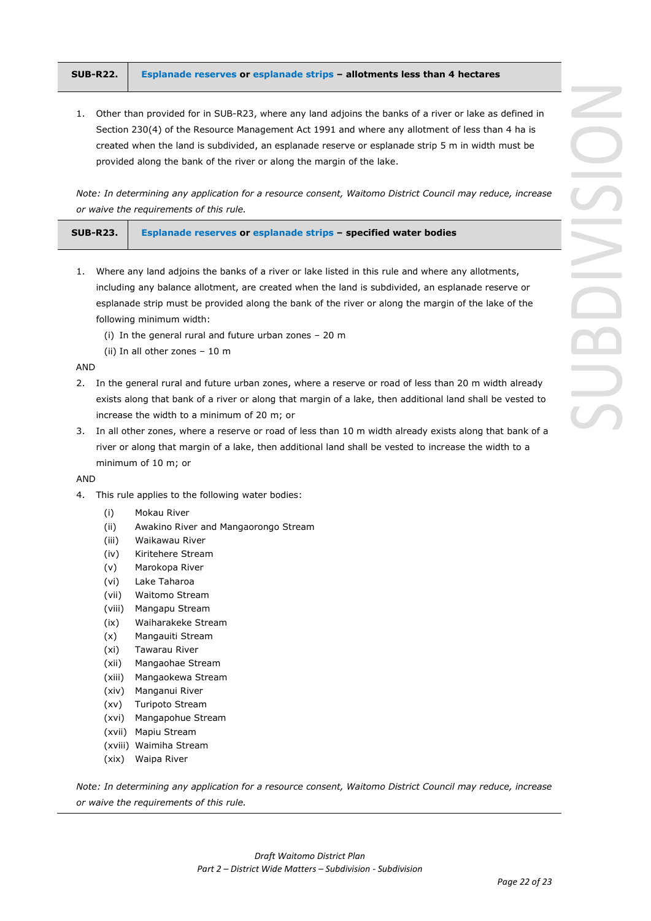|  | SUB-R22.   Esplanade reserves or esplanade strips - allotments less than 4 hectares |
|--|-------------------------------------------------------------------------------------|
|--|-------------------------------------------------------------------------------------|

1. Other than provided for in SUB-R23, where any land adjoins the banks of a river or lake as defined in Section 230(4) of the Resource Management Act 1991 and where any allotment of less than 4 ha is created when the land is subdivided, an esplanade reserve or esplanade strip 5 m in width must be provided along the bank of the river or along the margin of the lake.

*Note: In determining any application for a resource consent, Waitomo District Council may reduce, increase or waive the requirements of this rule.*

| $SUB-R23.$ | <b>Esplanade reserves or esplanade strips - specified water bodies</b> |
|------------|------------------------------------------------------------------------|
|            |                                                                        |

- 1. Where any land adjoins the banks of a river or lake listed in this rule and where any allotments, including any balance allotment, are created when the land is subdivided, an esplanade reserve or esplanade strip must be provided along the bank of the river or along the margin of the lake of the following minimum width:
	- (i) In the general rural and future urban zones 20 m
	- (ii) In all other zones 10 m

AND

- 2. In the general rural and future urban zones, where a reserve or road of less than 20 m width already exists along that bank of a river or along that margin of a lake, then additional land shall be vested to increase the width to a minimum of 20 m; or
- 3. In all other zones, where a reserve or road of less than 10 m width already exists along that bank of a river or along that margin of a lake, then additional land shall be vested to increase the width to a minimum of 10 m; or

AND

- 4. This rule applies to the following water bodies:
	- (i) Mokau River
	- (ii) Awakino River and Mangaorongo Stream
	- (iii) Waikawau River
	- (iv) Kiritehere Stream
	- (v) Marokopa River
	- (vi) Lake Taharoa
	- (vii) Waitomo Stream
	- (viii) Mangapu Stream
	- (ix) Waiharakeke Stream
	- (x) Mangauiti Stream
	- (xi) Tawarau River
	- (xii) Mangaohae Stream
	- (xiii) Mangaokewa Stream
	- (xiv) Manganui River
	- (xv) Turipoto Stream
	- (xvi) Mangapohue Stream
	- (xvii) Mapiu Stream
	- (xviii) Waimiha Stream
	- (xix) Waipa River

*Note: In determining any application for a resource consent, Waitomo District Council may reduce, increase or waive the requirements of this rule.*